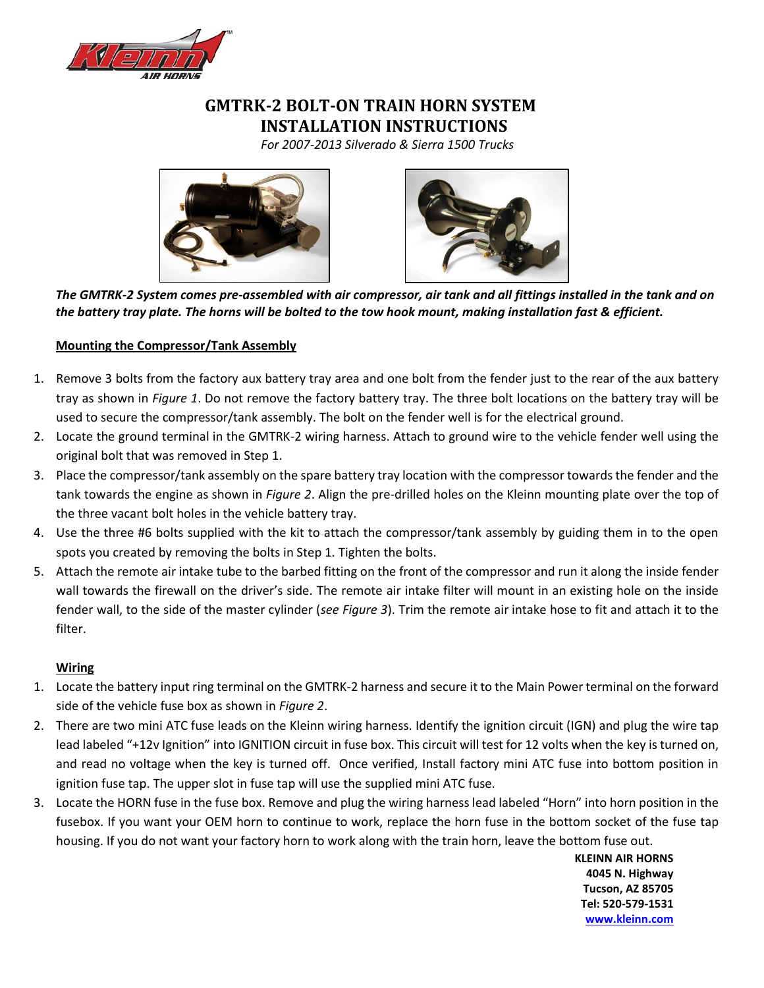

## **GMTRK-2 BOLT-ON TRAIN HORN SYSTEM INSTALLATION INSTRUCTIONS**

*For 2007-2013 Silverado & Sierra 1500 Trucks*





*The GMTRK-2 System comes pre-assembled with air compressor, air tank and all fittings installed in the tank and on the battery tray plate. The horns will be bolted to the tow hook mount, making installation fast & efficient.* 

## **Mounting the Compressor/Tank Assembly**

- 1. Remove 3 bolts from the factory aux battery tray area and one bolt from the fender just to the rear of the aux battery tray as shown in *Figure 1*. Do not remove the factory battery tray. The three bolt locations on the battery tray will be used to secure the compressor/tank assembly. The bolt on the fender well is for the electrical ground.
- 2. Locate the ground terminal in the GMTRK-2 wiring harness. Attach to ground wire to the vehicle fender well using the original bolt that was removed in Step 1.
- 3. Place the compressor/tank assembly on the spare battery tray location with the compressor towards the fender and the tank towards the engine as shown in *Figure 2*. Align the pre-drilled holes on the Kleinn mounting plate over the top of the three vacant bolt holes in the vehicle battery tray.
- 4. Use the three #6 bolts supplied with the kit to attach the compressor/tank assembly by guiding them in to the open spots you created by removing the bolts in Step 1. Tighten the bolts.
- 5. Attach the remote air intake tube to the barbed fitting on the front of the compressor and run it along the inside fender wall towards the firewall on the driver's side. The remote air intake filter will mount in an existing hole on the inside fender wall, to the side of the master cylinder (*see Figure 3*). Trim the remote air intake hose to fit and attach it to the filter.

### **Wiring**

- 1. Locate the battery input ring terminal on the GMTRK-2 harness and secure it to the Main Power terminal on the forward side of the vehicle fuse box as shown in *Figure 2*.
- 2. There are two mini ATC fuse leads on the Kleinn wiring harness. Identify the ignition circuit (IGN) and plug the wire tap lead labeled "+12v Ignition" into IGNITION circuit in fuse box. This circuit will test for 12 volts when the key is turned on, and read no voltage when the key is turned off. Once verified, Install factory mini ATC fuse into bottom position in ignition fuse tap. The upper slot in fuse tap will use the supplied mini ATC fuse.
- 3. Locate the HORN fuse in the fuse box. Remove and plug the wiring harness lead labeled "Horn" into horn position in the fusebox. If you want your OEM horn to continue to work, replace the horn fuse in the bottom socket of the fuse tap housing. If you do not want your factory horn to work along with the train horn, leave the bottom fuse out.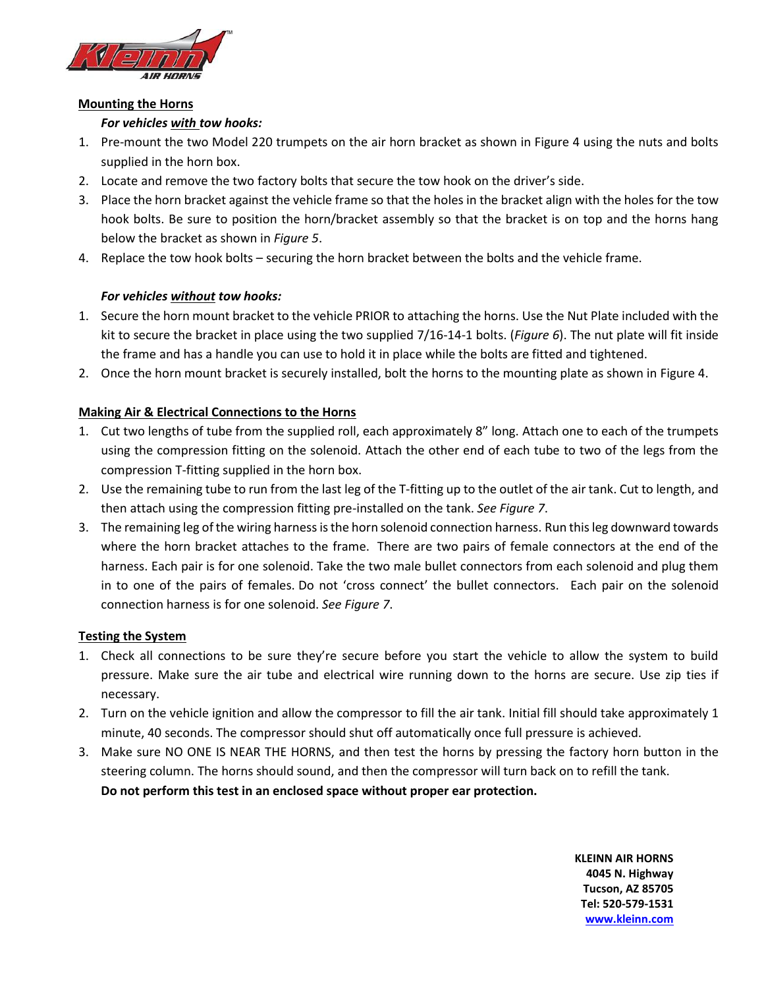

#### **Mounting the Horns**

## *For vehicles with tow hooks:*

- 1. Pre-mount the two Model 220 trumpets on the air horn bracket as shown in Figure 4 using the nuts and bolts supplied in the horn box.
- 2. Locate and remove the two factory bolts that secure the tow hook on the driver's side.
- 3. Place the horn bracket against the vehicle frame so that the holes in the bracket align with the holes for the tow hook bolts. Be sure to position the horn/bracket assembly so that the bracket is on top and the horns hang below the bracket as shown in *Figure 5*.
- 4. Replace the tow hook bolts securing the horn bracket between the bolts and the vehicle frame.

## *For vehicles without tow hooks:*

- 1. Secure the horn mount bracket to the vehicle PRIOR to attaching the horns. Use the Nut Plate included with the kit to secure the bracket in place using the two supplied 7/16-14-1 bolts. (*Figure 6*). The nut plate will fit inside the frame and has a handle you can use to hold it in place while the bolts are fitted and tightened.
- 2. Once the horn mount bracket is securely installed, bolt the horns to the mounting plate as shown in Figure 4.

## **Making Air & Electrical Connections to the Horns**

- 1. Cut two lengths of tube from the supplied roll, each approximately 8" long. Attach one to each of the trumpets using the compression fitting on the solenoid. Attach the other end of each tube to two of the legs from the compression T-fitting supplied in the horn box.
- 2. Use the remaining tube to run from the last leg of the T-fitting up to the outlet of the air tank. Cut to length, and then attach using the compression fitting pre-installed on the tank. *See Figure 7*.
- 3. The remaining leg of the wiring harness is the horn solenoid connection harness. Run this leg downward towards where the horn bracket attaches to the frame. There are two pairs of female connectors at the end of the harness. Each pair is for one solenoid. Take the two male bullet connectors from each solenoid and plug them in to one of the pairs of females. Do not 'cross connect' the bullet connectors. Each pair on the solenoid connection harness is for one solenoid. *See Figure 7*.

### **Testing the System**

- 1. Check all connections to be sure they're secure before you start the vehicle to allow the system to build pressure. Make sure the air tube and electrical wire running down to the horns are secure. Use zip ties if necessary.
- 2. Turn on the vehicle ignition and allow the compressor to fill the air tank. Initial fill should take approximately 1 minute, 40 seconds. The compressor should shut off automatically once full pressure is achieved.
- 3. Make sure NO ONE IS NEAR THE HORNS, and then test the horns by pressing the factory horn button in the steering column. The horns should sound, and then the compressor will turn back on to refill the tank. **Do not perform this test in an enclosed space without proper ear protection.**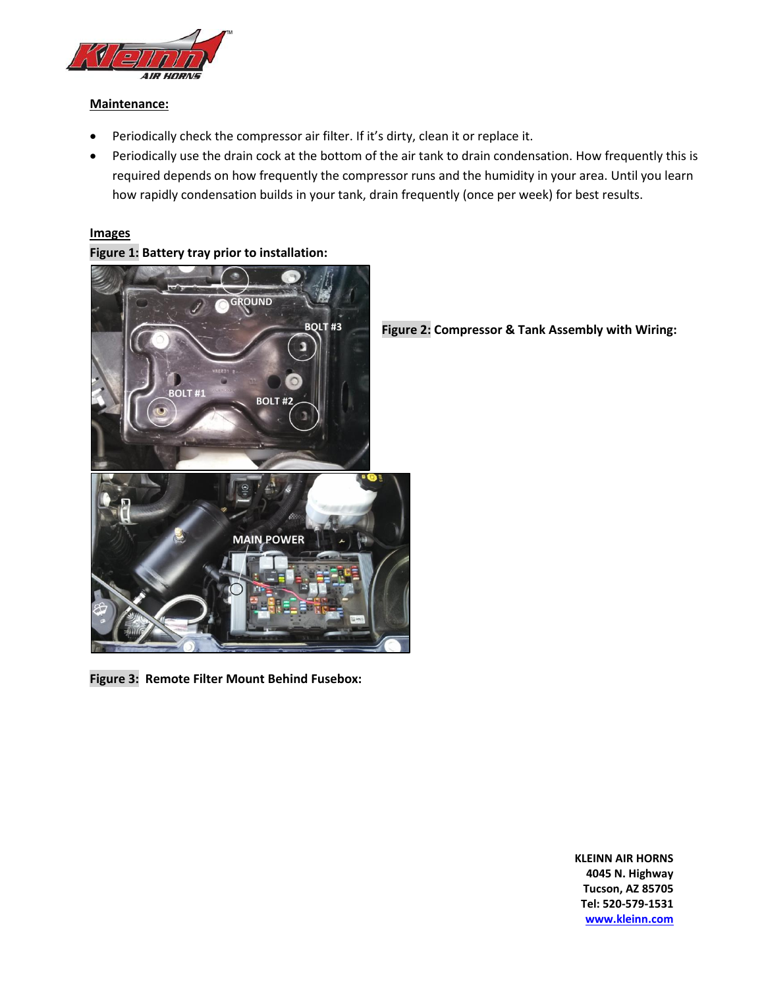

#### **Maintenance:**

- Periodically check the compressor air filter. If it's dirty, clean it or replace it.
- Periodically use the drain cock at the bottom of the air tank to drain condensation. How frequently this is required depends on how frequently the compressor runs and the humidity in your area. Until you learn how rapidly condensation builds in your tank, drain frequently (once per week) for best results.

#### **Images**

**Figure 1: Battery tray prior to installation:**



**Figure 2: Compressor & Tank Assembly with Wiring:**

**Figure 3: Remote Filter Mount Behind Fusebox:**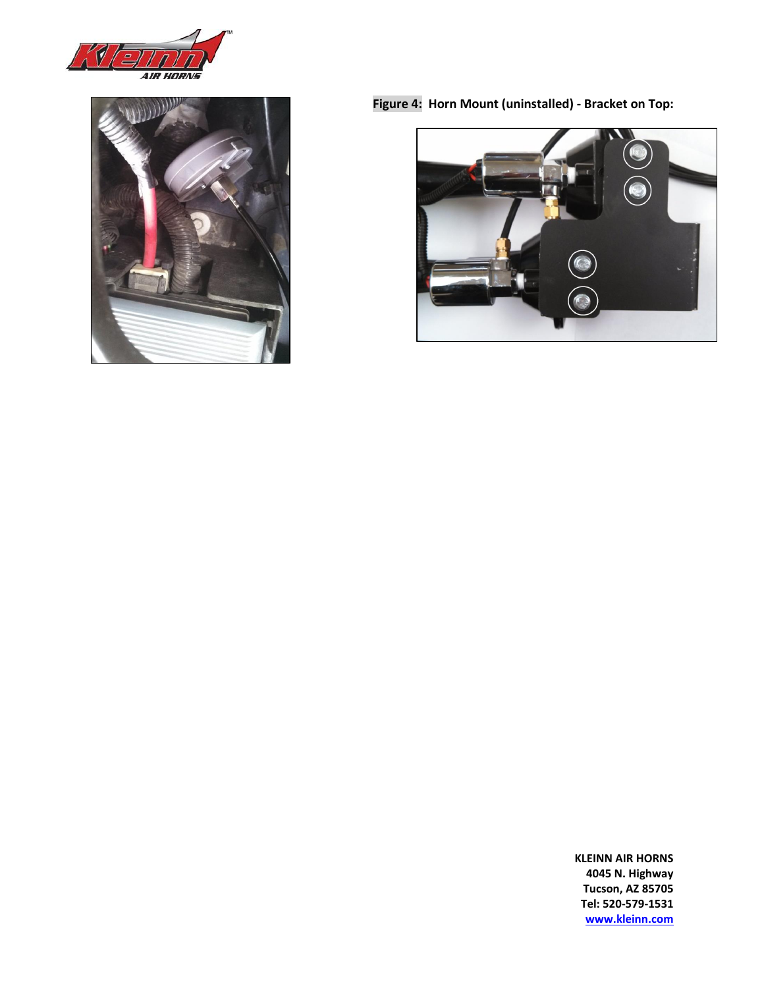



**Figure 4: Horn Mount (uninstalled) - Bracket on Top:**